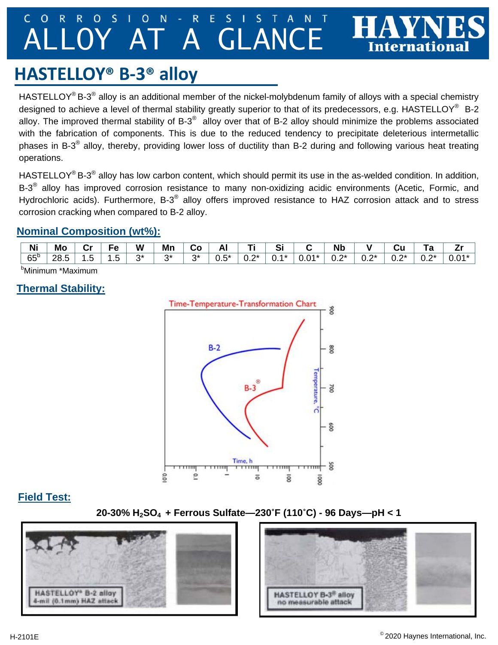#### $\overline{O}$ S  $\overline{O}$  $N$  $\overline{\mathsf{R}}$ AT A GLANC

# **HASTELLOY® B‐3® alloy**

HASTELLOY<sup>®</sup> B-3<sup>®</sup> alloy is an additional member of the nickel-molybdenum family of alloys with a special chemistry designed to achieve a level of thermal stability greatly superior to that of its predecessors, e.g. HASTELLOY<sup>®</sup> B-2 alloy. The improved thermal stability of  $B-3^{\circledast}$  alloy over that of  $B-2$  alloy should minimize the problems associated with the fabrication of components. This is due to the reduced tendency to precipitate deleterious intermetallic phases in B-3® alloy, thereby, providing lower loss of ductility than B-2 during and following various heat treating operations.

HASTELLOY<sup>®</sup> B-3<sup>®</sup> alloy has low carbon content, which should permit its use in the as-welded condition. In addition, B-3<sup>®</sup> alloy has improved corrosion resistance to many non-oxidizing acidic environments (Acetic, Formic, and Hydrochloric acids). Furthermore, B-3<sup>®</sup> alloy offers improved resistance to HAZ corrosion attack and to stress corrosion cracking when compared to B-2 alloy.

## **Nominal Composition (wt%):**

| Ni           | Mo   | Cr      | $\overline{\phantom{a}}$ | W  | Mn | ပ၀       | л<br>−    | --                  | Si           |         | <b>N<sub>k</sub></b> |                               | uu     | ı a        |         |
|--------------|------|---------|--------------------------|----|----|----------|-----------|---------------------|--------------|---------|----------------------|-------------------------------|--------|------------|---------|
| $65^{\circ}$ | 28.5 | ∽<br>ں. | . .<br>U                 | n* | n* | ົາ∗<br>ັ | г*<br>∪.∪ | $\mathbf{a}$<br>v.z | $4*$<br>. v. | $0.01*$ | $\mathbf{a}$<br>∪.∠  | $\mathbf{a}$<br>$\sim$<br>v.z | $0.2*$ | ົດ*<br>v.z | $0.01*$ |
|              |      |         |                          |    |    |          |           |                     |              |         |                      |                               |        |            |         |

bMinimum \*Maximum

## **Thermal Stability:**



#### **Field Test:**

**20-30% H2SO4 + Ferrous Sulfate—230˚F (110˚C) - 96 Days—pH < 1** 



Internationa